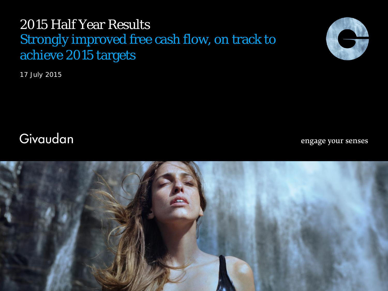# 2015 Half Year Results Strongly improved free cash flow, on track to achieve 2015 targets

17 July 2015



# Givaudan

engage your senses

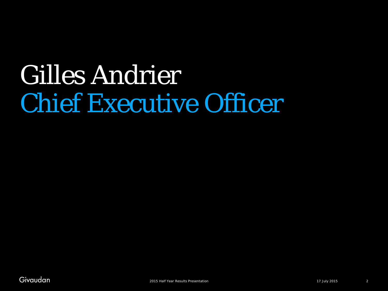# Chief Executive Officer Gilles Andrier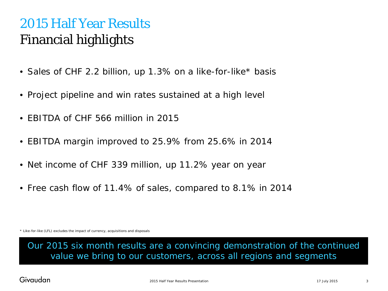# 2015 Half Year Results Financial highlights

- Sales of CHF 2.2 billion, up 1.3% on a like-for-like\* basis
- Project pipeline and win rates sustained at a high level
- EBITDA of CHF 566 million in 2015
- EBITDA margin improved to 25.9% from 25.6% in 2014
- Net income of CHF 339 million, up 11.2% year on year
- Free cash flow of 11.4% of sales, compared to 8.1% in 2014

\* Like-for-like (LFL) excludes the impact of currency, acquisitions and disposals

Our 2015 six month results are a convincing demonstration of the continued value we bring to our customers, across all regions and segments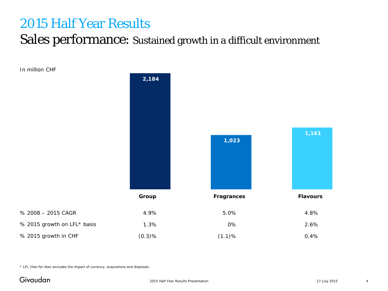#### Sales performance: Sustained growth in a difficult environment

In million CHF



\* LFL (like-for-like) excludes the impact of currency, acquisitions and disposals

#### Givaudan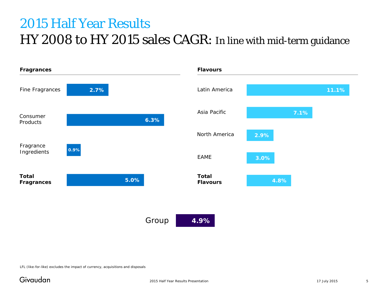# 2015 Half Year Results HY 2008 to HY 2015 sales CAGR: In line with mid-term guidance

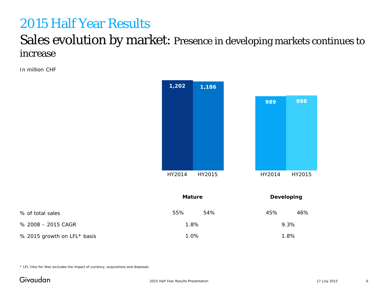#### Sales evolution by market: Presence in developing markets continues to increase

In million CHF



| % of total sales            | 55%     | 54% | 45%  | 46% |
|-----------------------------|---------|-----|------|-----|
| % 2008 - 2015 CAGR          | $1.8\%$ |     | 9.3% |     |
| % 2015 growth on LFL* basis | $1.0\%$ |     | 1.8% |     |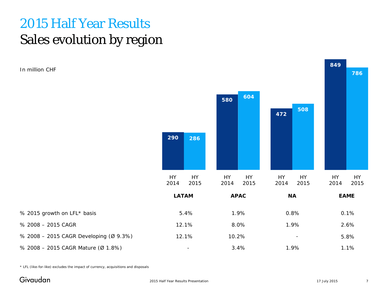# 2015 Half Year Results Sales evolution by region

In million CHF



\* LFL (like-for-like) excludes the impact of currency, acquisitions and disposals

#### Givaudan

% 2015 growth on LFL\* basis

% 2008 – 2015 CAGR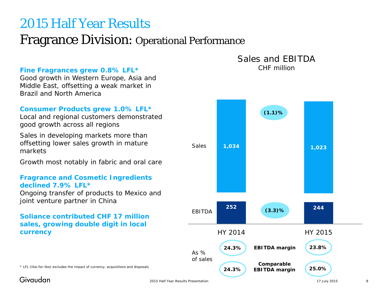#### Fragrance Division: Operational Performance

#### **Fine Fragrances grew 0.8% LFL\***

Good growth in Western Europe, Asia and Middle East, offsetting a weak market in Brazil and North America

#### **Consumer Products grew 1.0% LFL\***

Local and regional customers demonstrated good growth across all regions

Sales in developing markets more than offsetting lower sales growth in mature markets

Growth most notably in fabric and oral care

#### **Fragrance and Cosmetic Ingredients declined 7.9% LFL\***

Ongoing transfer of products to Mexico and joint venture partner in China

#### **Soliance contributed CHF 17 million sales, growing double digit in local currency**

Sales and EBITDA CHF million

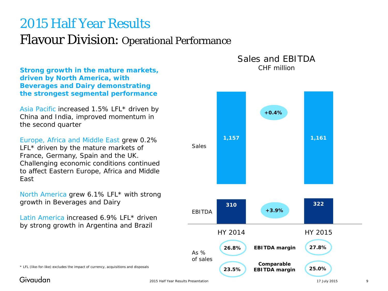# 2015 Half Year Results Flavour Division: Operational Performance

**Strong growth in the mature markets, driven by North America, with Beverages and Dairy demonstrating the strongest segmental performance**

Asia Pacific increased 1.5% LFL\* driven by China and India, improved momentum in the second quarter

Europe, Africa and Middle East grew 0.2% LFL<sup>\*</sup> driven by the mature markets of France, Germany, Spain and the UK. Challenging economic conditions continued to affect Eastern Europe, Africa and Middle East

North America grew 6.1% LFL\* with strong growth in Beverages and Dairy

Latin America increased 6.9% LFL\* driven by strong growth in Argentina and Brazil



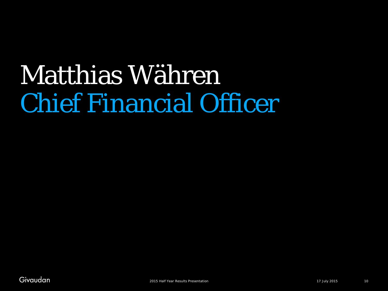# Chief Financial Officer Matthias Währen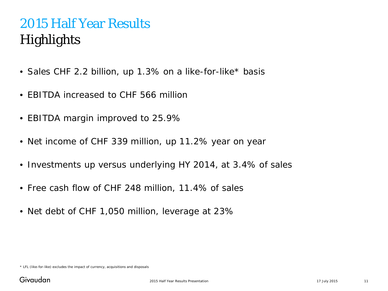# 2015 Half Year Results **Highlights**

- Sales CHF 2.2 billion, up 1.3% on a like-for-like\* basis
- EBITDA increased to CHF 566 million
- EBITDA margin improved to 25.9%
- Net income of CHF 339 million, up 11.2% year on year
- Investments up versus underlying HY 2014, at 3.4% of sales
- Free cash flow of CHF 248 million, 11.4% of sales
- Net debt of CHF 1,050 million, leverage at 23%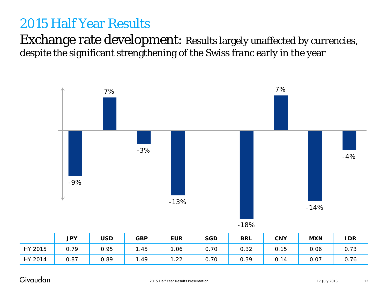#### Exchange rate development: Results largely unaffected by currencies, despite the significant strengthening of the Swiss franc early in the year



| ۰, |
|----|
|----|

|         | <b>JPY</b> | USD  | <b>GBP</b> | <b>EUR</b> | <b>SGD</b> | <b>BRL</b> | <b>CNY</b> | <b>MXN</b> | <b>IDR</b> |
|---------|------------|------|------------|------------|------------|------------|------------|------------|------------|
| HY 2015 | 0.79       | 0.95 | .45        | .06        | 0.70       | 0.32       | 0.15       | 0.06       | 0.73       |
| HY 2014 | 0.87       | 0.89 | 1.49       | 22. ا      | 0.70       | 0.39       | 0.14       | 0.07       | 0.76       |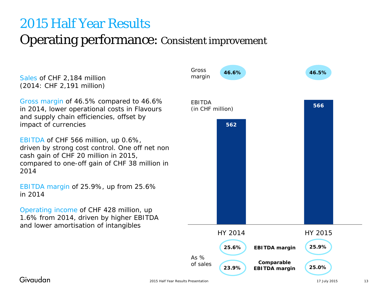# 2015 Half Year Results Operating performance: Consistent improvement

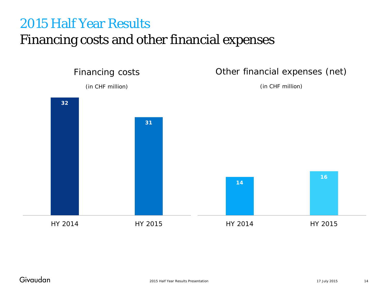### Financing costs and other financial expenses

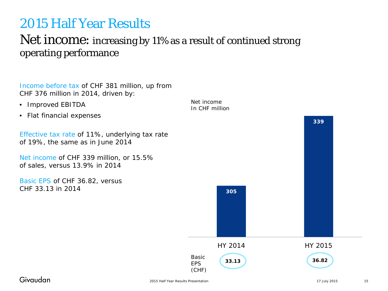#### Net income: increasing by 11% as a result of continued strong operating performance

Income before tax of CHF 381 million, up from CHF 376 million in 2014, driven by:

- Improved EBITDA
- Flat financial expenses

Effective tax rate of 11%, underlying tax rate of 19%, the same as in June 2014

Net income of CHF 339 million, or 15.5% of sales, versus 13.9% in 2014

Basic EPS of CHF 36.82, versus CHF 33.13 in 2014

Net income In CHF million

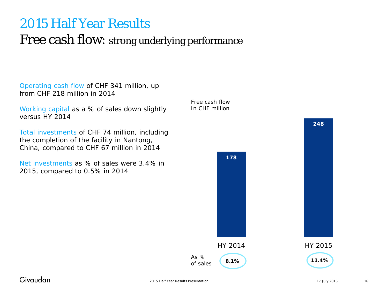#### Free cash flow: strong underlying performance

Operating cash flow of CHF 341 million, up from CHF 218 million in 2014

Working capital as a % of sales down slightly versus HY 2014

Total investments of CHF 74 million, including the completion of the facility in Nantong, China, compared to CHF 67 million in 2014

Net investments as % of sales were 3.4% in 2015, compared to 0.5% in 2014

Free cash flow In CHF million As % of sales **178 248** HY 2014 HY 2015 **8.1% 11.4%**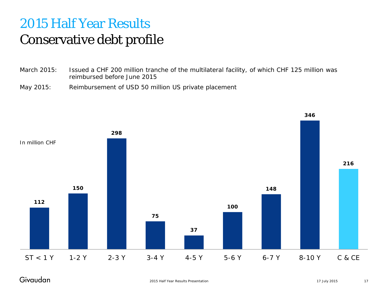# 2015 Half Year Results Conservative debt profile

- March 2015: Issued a CHF 200 million tranche of the multilateral facility, of which CHF 125 million was reimbursed before June 2015
- May 2015: Reimbursement of USD 50 million US private placement



#### Givaudan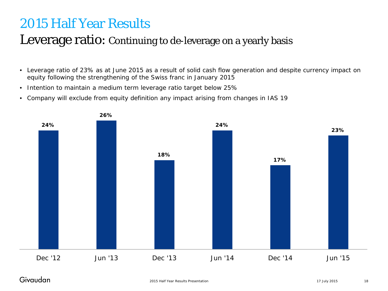#### Leverage ratio: Continuing to de-leverage on a yearly basis

- Leverage ratio of 23% as at June 2015 as a result of solid cash flow generation and despite currency impact on equity following the strengthening of the Swiss franc in January 2015
- Intention to maintain a medium term leverage ratio target below 25%
- Company will exclude from equity definition any impact arising from changes in IAS 19

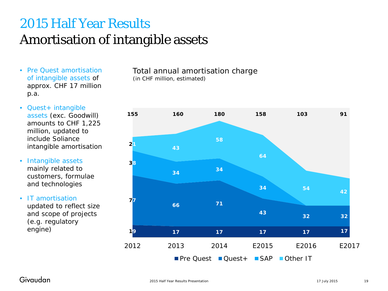# 2015 Half Year Results Amortisation of intangible assets

- Pre Quest amortisation of intangible assets of approx. CHF 17 million p.a.
- Quest+ intangible assets (exc. Goodwill) amounts to CHF 1,225 million, updated to include Soliance intangible amortisation
- Intangible assets mainly related to customers, formulae and technologies
- IT amortisation updated to reflect size and scope of projects (e.g. regulatory engine)

Total annual amortisation charge (in CHF million, estimated)

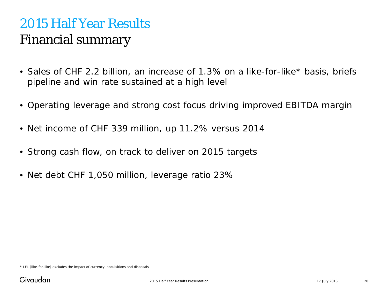# 2015 Half Year Results Financial summary

- Sales of CHF 2.2 billion, an increase of 1.3% on a like-for-like\* basis, briefs pipeline and win rate sustained at a high level
- Operating leverage and strong cost focus driving improved EBITDA margin
- Net income of CHF 339 million, up 11.2% versus 2014
- Strong cash flow, on track to deliver on 2015 targets
- Net debt CHF 1,050 million, leverage ratio 23%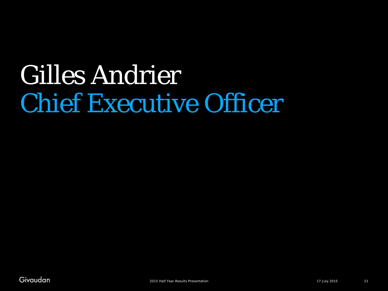# Chief Executive Officer Gilles Andrier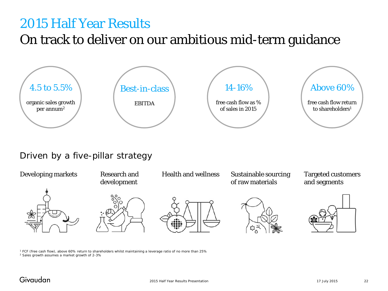### On track to deliver on our ambitious mid-term guidance



#### Driven by a five-pillar strategy



<sup>1</sup> FCF (free cash flow), above 60% return to shareholders whilst maintaining a leverage ratio of no more than 25% <sup>2</sup> Sales growth assumes a market growth of 2-3%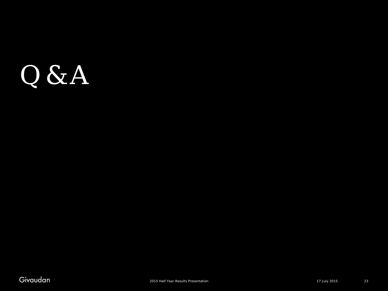# Q & A